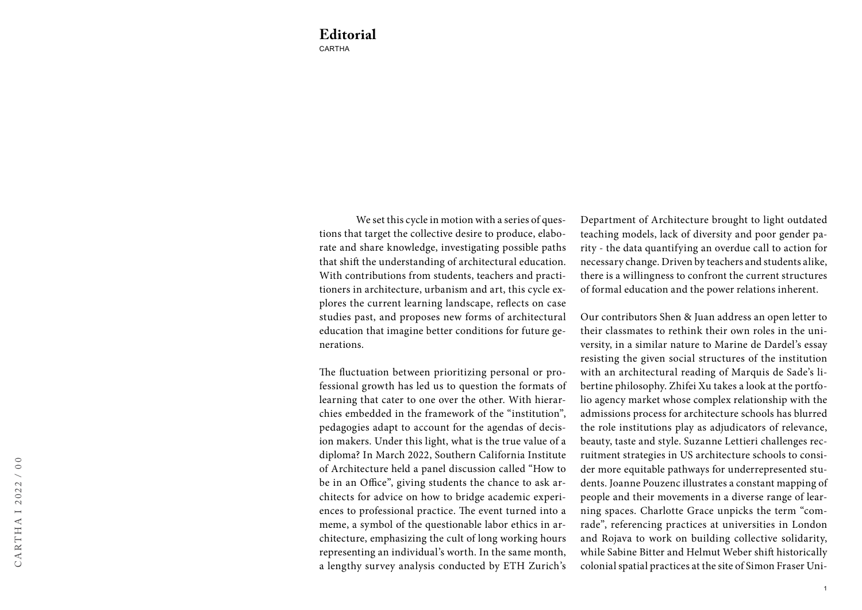We set this cycle in motion with a series of questions that target the collective desire to produce, elaborate and share knowledge, investigating possible paths that shift the understanding of architectural education. With contributions from students, teachers and practitioners in architecture, urbanism and art, this cycle explores the current learning landscape, reflects on case studies past, and proposes new forms of architectural education that imagine better conditions for future generations.

The fluctuation between prioritizing personal or professional growth has led us to question the formats of learning that cater to one over the other. With hierarchies embedded in the framework of the "institution", pedagogies adapt to account for the agendas of decision makers. Under this light, what is the true value of a diploma? In March 2022, Southern California Institute of Architecture held a panel discussion called "How to be in an Office", giving students the chance to ask architects for advice on how to bridge academic experiences to professional practice. The event turned into a meme, a symbol of the questionable labor ethics in architecture, emphasizing the cult of long working hours representing an individual's worth. In the same month, a lengthy survey analysis conducted by ETH Zurich's Department of Architecture brought to light outdated teaching models, lack of diversity and poor gender parity - the data quantifying an overdue call to action for necessary change. Driven by teachers and students alike, there is a willingness to confront the current structures of formal education and the power relations inherent.

Our contributors Shen & Juan address an open letter to their classmates to rethink their own roles in the university, in a similar nature to Marine de Dardel's essay resisting the given social structures of the institution with an architectural reading of Marquis de Sade's libertine philosophy. Zhifei Xu takes a look at the portfolio agency market whose complex relationship with the admissions process for architecture schools has blurred the role institutions play as adjudicators of relevance, beauty, taste and style. Suzanne Lettieri challenges recruitment strategies in US architecture schools to consider more equitable pathways for underrepresented students. Joanne Pouzenc illustrates a constant mapping of people and their movements in a diverse range of learning spaces. Charlotte Grace unpicks the term "comrade", referencing practices at universities in London and Rojava to work on building collective solidarity, while Sabine Bitter and Helmut Weber shift historically colonial spatial practices at the site of Simon Fraser Uni-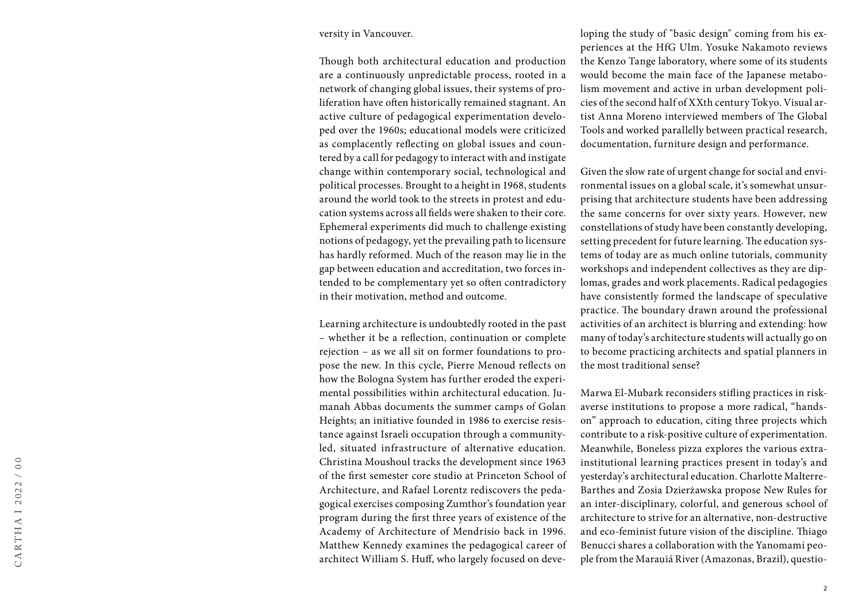## versity in Vancouver.

Though both architectural education and production are a continuously unpredictable process, rooted in a network of changing global issues, their systems of pro liferation have often historically remained stagnant. An active culture of pedagogical experimentation develo ped over the 1960s; educational models were criticized as complacently reflecting on global issues and coun tered by a call for pedagogy to interact with and instigate change within contemporary social, technological and political processes. Brought to a height in 1968, students around the world took to the streets in protest and edu cation systems across all fields were shaken to their core. Ephemeral experiments did much to challenge existing notions of pedagogy, yet the prevailing path to licensure has hardly reformed. Much of the reason may lie in the gap between education and accreditation, two forces in tended to be complementary yet so often contradictory in their motivation, method and outcome.

Learning architecture is undoubtedly rooted in the past – whether it be a reflection, continuation or complete rejection – as we all sit on former foundations to pro pose the new. In this cycle, Pierre Menoud reflects on how the Bologna System has further eroded the experi mental possibilities within architectural education. Ju manah Abbas documents the summer camps of Golan Heights; an initiative founded in 1986 to exercise resis tance against Israeli occupation through a communityled, situated infrastructure of alternative education. Christina Moushoul tracks the development since 1963 of the first semester core studio at Princeton School of Architecture, and Rafael Lorentz rediscovers the peda gogical exercises composing Zumthor's foundation year program during the first three years of existence of the Academy of Architecture of Mendrisio back in 1996. Matthew Kennedy examines the pedagogical career of architect William S. Huff, who largely focused on deve -

loping the study of "basic design" coming from his ex periences at the HfG Ulm. Yosuke Nakamoto reviews the Kenzo Tange laboratory, where some of its students would become the main face of the Japanese metabo lism movement and active in urban development poli cies of the second half of XXth century Tokyo. Visual ar tist Anna Moreno interviewed members of The Global Tools and worked parallelly between practical research, documentation, furniture design and performance.

Given the slow rate of urgent change for social and envi ronmental issues on a global scale, it's somewhat unsur prising that architecture students have been addressing the same concerns for over sixty years. However, new constellations of study have been constantly developing, setting precedent for future learning. The education sys tems of today are as much online tutorials, community workshops and independent collectives as they are dip lomas, grades and work placements. Radical pedagogies have consistently formed the landscape of speculative practice. The boundary drawn around the professional activities of an architect is blurring and extending: how many of today's architecture students will actually go on to become practicing architects and spatial planners in the most traditional sense?

Marwa El-Mubark reconsiders stifling practices in riskaverse institutions to propose a more radical, "handson" approach to education, citing three projects which contribute to a risk-positive culture of experimentation. Meanwhile, Boneless pizza explores the various extrainstitutional learning practices present in today's and yesterday's architectural education. Charlotte Malterre-Barthes and Zosia Dzierżawska propose New Rules for an inter-disciplinary, colorful, and generous school of architecture to strive for an alternative, non-destructive and eco-feminist future vision of the discipline. Thiago Benucci shares a collaboration with the Yanomami peo ple from the Marauiá River (Amazonas, Brazil), questio -